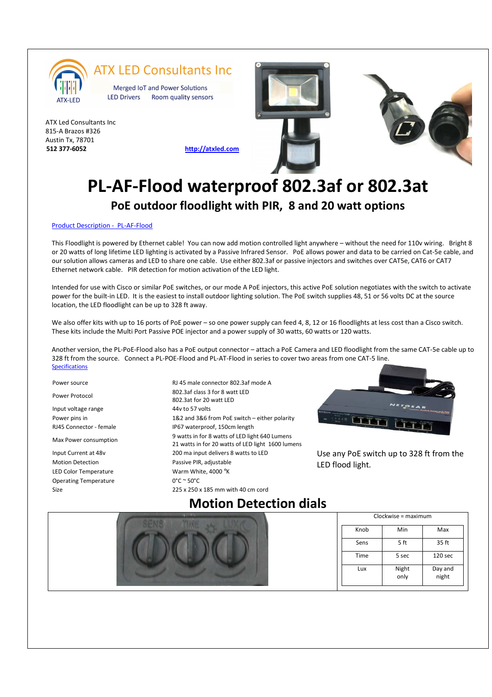

#### **ATX LED Consultants Inc**

Merged IoT and Power Solutions **LED Drivers** Room quality sensors

ATX Led Consultants Inc 815-A Brazos #326 Austin Tx, 78701 **512 377-6052 http://atxled.com**





## **PL-AF-Flood waterproof 802.3af or 802.3at PoE outdoor floodlight with PIR, 8 and 20 watt options**

#### Product Description - PL-AF-Flood

This Floodlight is powered by Ethernet cable! You can now add motion controlled light anywhere – without the need for 110v wiring. Bright 8 or 20 watts of long lifetime LED lighting is activated by a Passive Infrared Sensor. PoE allows power and data to be carried on Cat-5e cable, and our solution allows cameras and LED to share one cable. Use either 802.3af or passive injectors and switches over CAT5e, CAT6 or CAT7 Ethernet network cable. PIR detection for motion activation of the LED light.

Intended for use with Cisco or similar PoE switches, or our mode A PoE injectors, this active PoE solution negotiates with the switch to activate power for the built-in LED. It is the easiest to install outdoor lighting solution. The PoE switch supplies 48, 51 or 56 volts DC at the source location, the LED floodlight can be up to 328 ft away.

We also offer kits with up to 16 ports of PoE power – so one power supply can feed 4, 8, 12 or 16 floodlights at less cost than a Cisco switch. These kits include the Multi Port Passive POE injector and a power supply of 30 watts, 60 watts or 120 watts.

Another version, the PL-PoE-Flood also has a PoE output connector – attach a PoE Camera and LED floodlight from the same CAT-5e cable up to 328 ft from the source. Connect a PL-POE-Flood and PL-AT-Flood in series to cover two areas from one CAT-5 line. **Specifications** 

Input voltage range 44v to 57 volts

Motion Detection **Passive PIR**, adjustable LED Color Temperature Warm White, 4000 °K Operating Temperature 0°C ~ 50°C

Power source The RJ 45 male connector 802.3af mode A Power Protocol 802.3af class 3 for 8 watt LED 802.3at for 20 watt LED Power pins in 1&2 and 3&6 from PoE switch – either polarity RJ45 Connector - female IP67 waterproof, 150cm length 9 watts in for 8 watts of LED light 640 Lumens<br>Max Power consumption 21 watts in for 20 watts of LED light 1600 lumens Input Current at 48v 200 ma input delivers 8 watts to LED Size 225 x 250 x 185 mm with 40 cm cord



Use any PoE switch up to 328 ft from the LED flood light.

### **Motion Detection dials**



| $Clockwise = maximum$ |               |                    |
|-----------------------|---------------|--------------------|
| Knob                  | Min           | Max                |
| Sens                  | 5 ft          | 35 ft              |
| Time                  | 5 sec         | 120 <sub>sec</sub> |
| Lux                   | Night<br>only | Day and<br>night   |